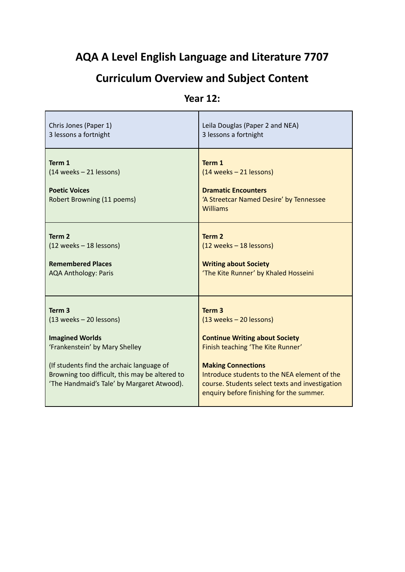# **AQA A Level English Language and Literature 7707**

# **Curriculum Overview and Subject Content**

### **Year 12:**

| Chris Jones (Paper 1)                                                                                                                                                                                                                                 | Leila Douglas (Paper 2 and NEA)                                                                                                                                                                                                                                                                          |
|-------------------------------------------------------------------------------------------------------------------------------------------------------------------------------------------------------------------------------------------------------|----------------------------------------------------------------------------------------------------------------------------------------------------------------------------------------------------------------------------------------------------------------------------------------------------------|
| 3 lessons a fortnight                                                                                                                                                                                                                                 | 3 lessons a fortnight                                                                                                                                                                                                                                                                                    |
| Term 1<br>(14 weeks – 21 lessons)<br><b>Poetic Voices</b><br>Robert Browning (11 poems)                                                                                                                                                               | Term 1<br>(14 weeks – 21 lessons)<br><b>Dramatic Encounters</b><br>'A Streetcar Named Desire' by Tennessee<br><b>Williams</b>                                                                                                                                                                            |
| Term <sub>2</sub>                                                                                                                                                                                                                                     | Term <sub>2</sub>                                                                                                                                                                                                                                                                                        |
| (12 weeks - 18 lessons)                                                                                                                                                                                                                               | $(12 \text{ weeks} - 18 \text{ lessons})$                                                                                                                                                                                                                                                                |
| <b>Remembered Places</b>                                                                                                                                                                                                                              | <b>Writing about Society</b>                                                                                                                                                                                                                                                                             |
| <b>AQA Anthology: Paris</b>                                                                                                                                                                                                                           | 'The Kite Runner' by Khaled Hosseini                                                                                                                                                                                                                                                                     |
| Term <sub>3</sub><br>(13 weeks - 20 lessons)<br><b>Imagined Worlds</b><br>'Frankenstein' by Mary Shelley<br>(If students find the archaic language of<br>Browning too difficult, this may be altered to<br>'The Handmaid's Tale' by Margaret Atwood). | Term <sub>3</sub><br>$(13 weeks - 20 lessons)$<br><b>Continue Writing about Society</b><br>Finish teaching 'The Kite Runner'<br><b>Making Connections</b><br>Introduce students to the NEA element of the<br>course. Students select texts and investigation<br>enquiry before finishing for the summer. |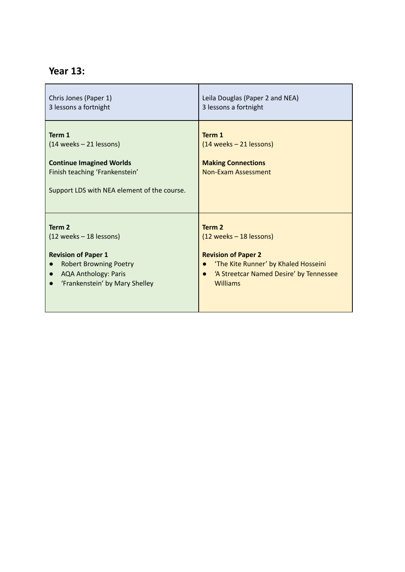### **Year 13:**

| Chris Jones (Paper 1)<br>3 lessons a fortnight                                                                                                                                                   | Leila Douglas (Paper 2 and NEA)<br>3 lessons a fortnight                                                                                                                  |
|--------------------------------------------------------------------------------------------------------------------------------------------------------------------------------------------------|---------------------------------------------------------------------------------------------------------------------------------------------------------------------------|
| Term 1<br>(14 weeks – 21 lessons)<br><b>Continue Imagined Worlds</b><br>Finish teaching 'Frankenstein'<br>Support LDS with NEA element of the course.                                            | Term 1<br>(14 weeks – 21 lessons)<br><b>Making Connections</b><br>Non-Exam Assessment                                                                                     |
| Term 2<br>$(12 \text{ weeks} - 18 \text{ lessons})$<br><b>Revision of Paper 1</b><br><b>Robert Browning Poetry</b><br><b>AQA Anthology: Paris</b><br>'Frankenstein' by Mary Shelley<br>$\bullet$ | Term <sub>2</sub><br>(12 weeks - 18 lessons)<br><b>Revision of Paper 2</b><br>'The Kite Runner' by Khaled Hosseini<br>'A Streetcar Named Desire' by Tennessee<br>Williams |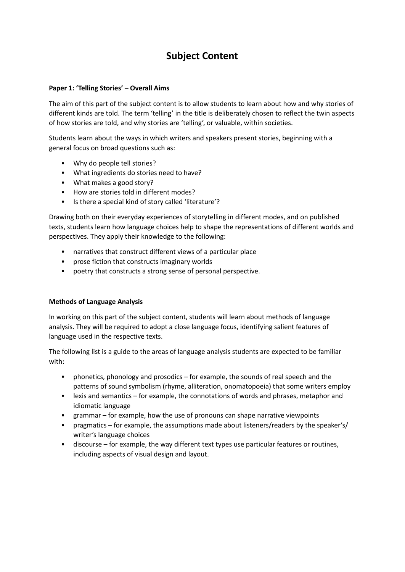### **Subject Content**

#### **Paper 1: 'Telling Stories' – Overall Aims**

The aim of this part of the subject content is to allow students to learn about how and why stories of different kinds are told. The term 'telling' in the title is deliberately chosen to reflect the twin aspects of how stories are told, and why stories are 'telling', or valuable, within societies.

Students learn about the ways in which writers and speakers present stories, beginning with a general focus on broad questions such as:

- Why do people tell stories?
- What ingredients do stories need to have?
- What makes a good story?
- How are stories told in different modes?
- Is there a special kind of story called 'literature'?

Drawing both on their everyday experiences of storytelling in different modes, and on published texts, students learn how language choices help to shape the representations of different worlds and perspectives. They apply their knowledge to the following:

- narratives that construct different views of a particular place
- prose fiction that constructs imaginary worlds
- poetry that constructs a strong sense of personal perspective.

#### **Methods of Language Analysis**

In working on this part of the subject content, students will learn about methods of language analysis. They will be required to adopt a close language focus, identifying salient features of language used in the respective texts.

The following list is a guide to the areas of language analysis students are expected to be familiar with:

- phonetics, phonology and prosodics for example, the sounds of real speech and the patterns of sound symbolism (rhyme, alliteration, onomatopoeia) that some writers employ
- lexis and semantics for example, the connotations of words and phrases, metaphor and idiomatic language
- grammar for example, how the use of pronouns can shape narrative viewpoints
- pragmatics for example, the assumptions made about listeners/readers by the speaker's/ writer's language choices
- discourse for example, the way different text types use particular features or routines, including aspects of visual design and layout.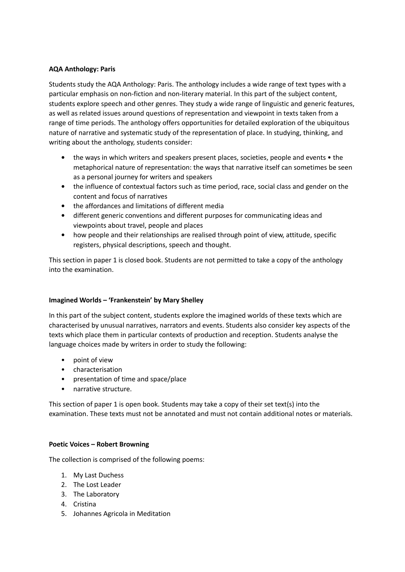#### **AQA Anthology: Paris**

Students study the AQA Anthology: Paris. The anthology includes a wide range of text types with a particular emphasis on non-fiction and non-literary material. In this part of the subject content, students explore speech and other genres. They study a wide range of linguistic and generic features, as well as related issues around questions of representation and viewpoint in texts taken from a range of time periods. The anthology offers opportunities for detailed exploration of the ubiquitous nature of narrative and systematic study of the representation of place. In studying, thinking, and writing about the anthology, students consider:

- **•** the ways in which writers and speakers present places, societies, people and events the metaphorical nature of representation: the ways that narrative itself can sometimes be seen as a personal journey for writers and speakers
- **•** the influence of contextual factors such as time period, race, social class and gender on the content and focus of narratives
- **•** the affordances and limitations of different media
- **•** different generic conventions and different purposes for communicating ideas and viewpoints about travel, people and places
- how people and their relationships are realised through point of view, attitude, specific registers, physical descriptions, speech and thought.

This section in paper 1 is closed book. Students are not permitted to take a copy of the anthology into the examination.

#### **Imagined Worlds – 'Frankenstein' by Mary Shelley**

In this part of the subject content, students explore the imagined worlds of these texts which are characterised by unusual narratives, narrators and events. Students also consider key aspects of the texts which place them in particular contexts of production and reception. Students analyse the language choices made by writers in order to study the following:

- point of view
- characterisation
- presentation of time and space/place
- narrative structure.

This section of paper 1 is open book. Students may take a copy of their set text(s) into the examination. These texts must not be annotated and must not contain additional notes or materials.

#### **Poetic Voices – Robert Browning**

The collection is comprised of the following poems:

- 1. My Last Duchess
- 2. The Lost Leader
- 3. The Laboratory
- 4. Cristina
- 5. Johannes Agricola in Meditation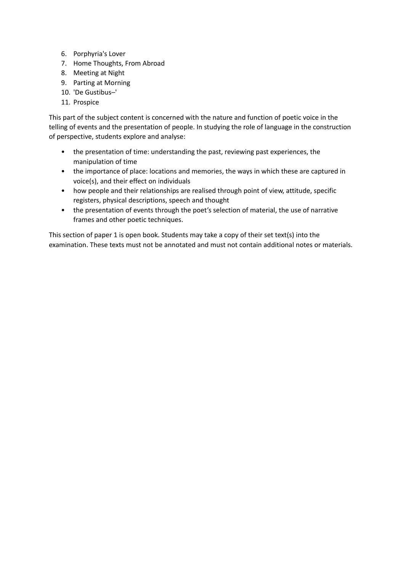- 6. Porphyria's Lover
- 7. Home Thoughts, From Abroad
- 8. Meeting at Night
- 9. Parting at Morning
- 10. 'De Gustibus–'
- 11. Prospice

This part of the subject content is concerned with the nature and function of poetic voice in the telling of events and the presentation of people. In studying the role of language in the construction of perspective, students explore and analyse:

- the presentation of time: understanding the past, reviewing past experiences, the manipulation of time
- the importance of place: locations and memories, the ways in which these are captured in voice(s), and their effect on individuals
- how people and their relationships are realised through point of view, attitude, specific registers, physical descriptions, speech and thought
- the presentation of events through the poet's selection of material, the use of narrative frames and other poetic techniques.

This section of paper 1 is open book. Students may take a copy of their set text(s) into the examination. These texts must not be annotated and must not contain additional notes or materials.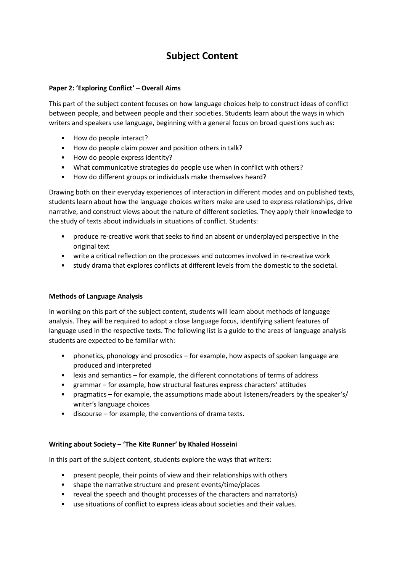## **Subject Content**

#### **Paper 2: 'Exploring Conflict' – Overall Aims**

This part of the subject content focuses on how language choices help to construct ideas of conflict between people, and between people and their societies. Students learn about the ways in which writers and speakers use language, beginning with a general focus on broad questions such as:

- How do people interact?
- How do people claim power and position others in talk?
- How do people express identity?
- What communicative strategies do people use when in conflict with others?
- How do different groups or individuals make themselves heard?

Drawing both on their everyday experiences of interaction in different modes and on published texts, students learn about how the language choices writers make are used to express relationships, drive narrative, and construct views about the nature of different societies. They apply their knowledge to the study of texts about individuals in situations of conflict. Students:

- produce re-creative work that seeks to find an absent or underplayed perspective in the original text
- write a critical reflection on the processes and outcomes involved in re-creative work
- study drama that explores conflicts at different levels from the domestic to the societal.

#### **Methods of Language Analysis**

In working on this part of the subject content, students will learn about methods of language analysis. They will be required to adopt a close language focus, identifying salient features of language used in the respective texts. The following list is a guide to the areas of language analysis students are expected to be familiar with:

- phonetics, phonology and prosodics for example, how aspects of spoken language are produced and interpreted
- lexis and semantics for example, the different connotations of terms of address
- grammar for example, how structural features express characters' attitudes
- pragmatics for example, the assumptions made about listeners/readers by the speaker's/ writer's language choices
- discourse for example, the conventions of drama texts.

#### **Writing about Society – 'The Kite Runner' by Khaled Hosseini**

In this part of the subject content, students explore the ways that writers:

- present people, their points of view and their relationships with others
- shape the narrative structure and present events/time/places
- reveal the speech and thought processes of the characters and narrator(s)
- use situations of conflict to express ideas about societies and their values.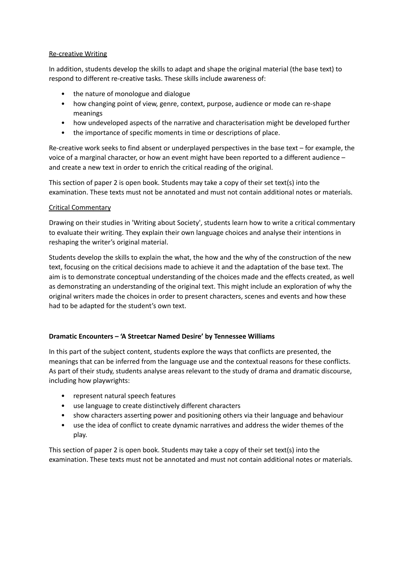#### Re-creative Writing

In addition, students develop the skills to adapt and shape the original material (the base text) to respond to different re-creative tasks. These skills include awareness of:

- the nature of monologue and dialogue
- how changing point of view, genre, context, purpose, audience or mode can re-shape meanings
- how undeveloped aspects of the narrative and characterisation might be developed further
- the importance of specific moments in time or descriptions of place.

Re-creative work seeks to find absent or underplayed perspectives in the base text – for example, the voice of a marginal character, or how an event might have been reported to a different audience – and create a new text in order to enrich the critical reading of the original.

This section of paper 2 is open book. Students may take a copy of their set text(s) into the examination. These texts must not be annotated and must not contain additional notes or materials.

#### Critical Commentary

Drawing on their studies in 'Writing about Society', students learn how to write a critical commentary to evaluate their writing. They explain their own language choices and analyse their intentions in reshaping the writer's original material.

Students develop the skills to explain the what, the how and the why of the construction of the new text, focusing on the critical decisions made to achieve it and the adaptation of the base text. The aim is to demonstrate conceptual understanding of the choices made and the effects created, as well as demonstrating an understanding of the original text. This might include an exploration of why the original writers made the choices in order to present characters, scenes and events and how these had to be adapted for the student's own text.

#### **Dramatic Encounters – 'A Streetcar Named Desire' by Tennessee Williams**

In this part of the subject content, students explore the ways that conflicts are presented, the meanings that can be inferred from the language use and the contextual reasons for these conflicts. As part of their study, students analyse areas relevant to the study of drama and dramatic discourse, including how playwrights:

- represent natural speech features
- use language to create distinctively different characters
- show characters asserting power and positioning others via their language and behaviour
- use the idea of conflict to create dynamic narratives and address the wider themes of the play.

This section of paper 2 is open book. Students may take a copy of their set text(s) into the examination. These texts must not be annotated and must not contain additional notes or materials.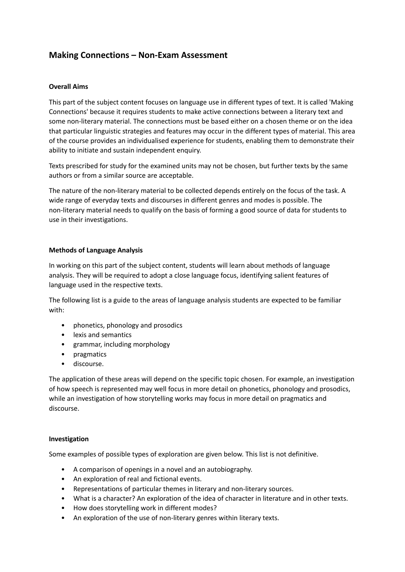### **Making Connections – Non-Exam Assessment**

#### **Overall Aims**

This part of the subject content focuses on language use in different types of text. It is called 'Making Connections' because it requires students to make active connections between a literary text and some non-literary material. The connections must be based either on a chosen theme or on the idea that particular linguistic strategies and features may occur in the different types of material. This area of the course provides an individualised experience for students, enabling them to demonstrate their ability to initiate and sustain independent enquiry.

Texts prescribed for study for the examined units may not be chosen, but further texts by the same authors or from a similar source are acceptable.

The nature of the non-literary material to be collected depends entirely on the focus of the task. A wide range of everyday texts and discourses in different genres and modes is possible. The non-literary material needs to qualify on the basis of forming a good source of data for students to use in their investigations.

#### **Methods of Language Analysis**

In working on this part of the subject content, students will learn about methods of language analysis. They will be required to adopt a close language focus, identifying salient features of language used in the respective texts.

The following list is a guide to the areas of language analysis students are expected to be familiar with:

- phonetics, phonology and prosodics
- lexis and semantics
- grammar, including morphology
- pragmatics
- discourse.

The application of these areas will depend on the specific topic chosen. For example, an investigation of how speech is represented may well focus in more detail on phonetics, phonology and prosodics, while an investigation of how storytelling works may focus in more detail on pragmatics and discourse.

#### **Investigation**

Some examples of possible types of exploration are given below. This list is not definitive.

- A comparison of openings in a novel and an autobiography.
- An exploration of real and fictional events.
- Representations of particular themes in literary and non-literary sources.
- What is a character? An exploration of the idea of character in literature and in other texts.
- How does storytelling work in different modes?
- An exploration of the use of non-literary genres within literary texts.